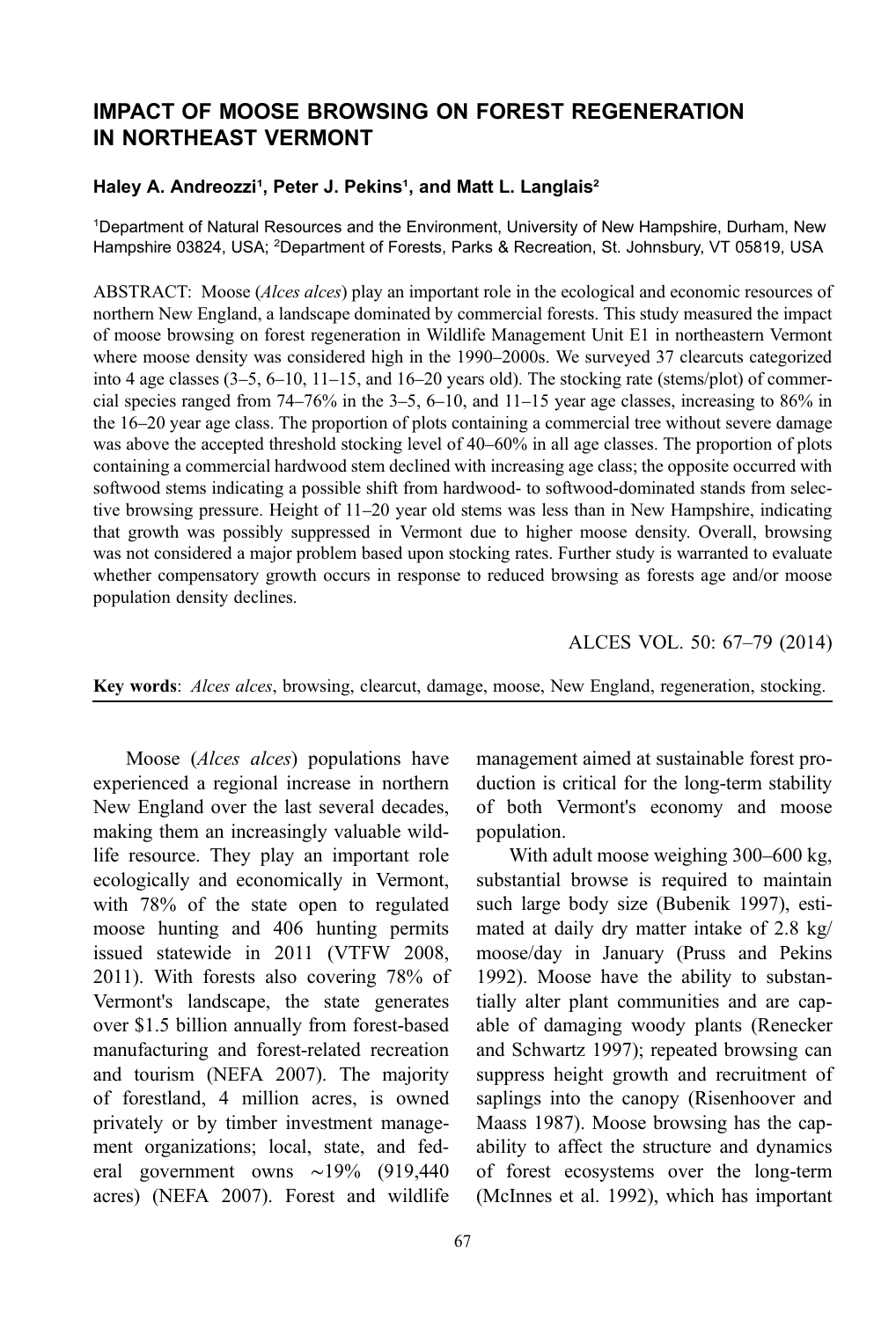# IMPACT OF MOOSE BROWSING ON FOREST REGENERATION IN NORTHEAST VERMONT

### Haley A. Andreozzi<sup>1</sup>, Peter J. Pekins<sup>1</sup>, and Matt L. Langlais<sup>2</sup>

1 Department of Natural Resources and the Environment, University of New Hampshire, Durham, New Hampshire 03824, USA; <sup>2</sup>Department of Forests, Parks & Recreation, St. Johnsbury, VT 05819, USA

ABSTRACT: Moose (*Alces alces*) play an important role in the ecological and economic resources of northern New England, a landscape dominated by commercial forests. This study measured the impact of moose browsing on forest regeneration in Wildlife Management Unit E1 in northeastern Vermont where moose density was considered high in the 1990–2000s. We surveyed 37 clearcuts categorized into 4 age classes (3–5, 6–10, 11–15, and 16–20 years old). The stocking rate (stems/plot) of commercial species ranged from 74–76% in the 3–5, 6–10, and 11–15 year age classes, increasing to 86% in the 16–20 year age class. The proportion of plots containing a commercial tree without severe damage was above the accepted threshold stocking level of 40–60% in all age classes. The proportion of plots containing a commercial hardwood stem declined with increasing age class; the opposite occurred with softwood stems indicating a possible shift from hardwood- to softwood-dominated stands from selective browsing pressure. Height of 11–20 year old stems was less than in New Hampshire, indicating that growth was possibly suppressed in Vermont due to higher moose density. Overall, browsing was not considered a major problem based upon stocking rates. Further study is warranted to evaluate whether compensatory growth occurs in response to reduced browsing as forests age and/or moose population density declines.

ALCES VOL. 50: 67–79 (2014)

Key words: Alces alces, browsing, clearcut, damage, moose, New England, regeneration, stocking.

Moose (*Alces alces*) populations have experienced a regional increase in northern New England over the last several decades, making them an increasingly valuable wildlife resource. They play an important role ecologically and economically in Vermont, with 78% of the state open to regulated moose hunting and 406 hunting permits issued statewide in 2011 (VTFW 2008, 2011). With forests also covering 78% of Vermont's landscape, the state generates over \$1.5 billion annually from forest-based manufacturing and forest-related recreation and tourism (NEFA 2007). The majority of forestland, 4 million acres, is owned privately or by timber investment management organizations; local, state, and federal government owns ∼19% (919,440 acres) (NEFA 2007). Forest and wildlife management aimed at sustainable forest production is critical for the long-term stability of both Vermont's economy and moose population.

With adult moose weighing 300–600 kg, substantial browse is required to maintain such large body size (Bubenik 1997), estimated at daily dry matter intake of 2.8 kg/ moose/day in January (Pruss and Pekins 1992). Moose have the ability to substantially alter plant communities and are capable of damaging woody plants (Renecker and Schwartz 1997); repeated browsing can suppress height growth and recruitment of saplings into the canopy (Risenhoover and Maass 1987). Moose browsing has the capability to affect the structure and dynamics of forest ecosystems over the long-term (McInnes et al. 1992), which has important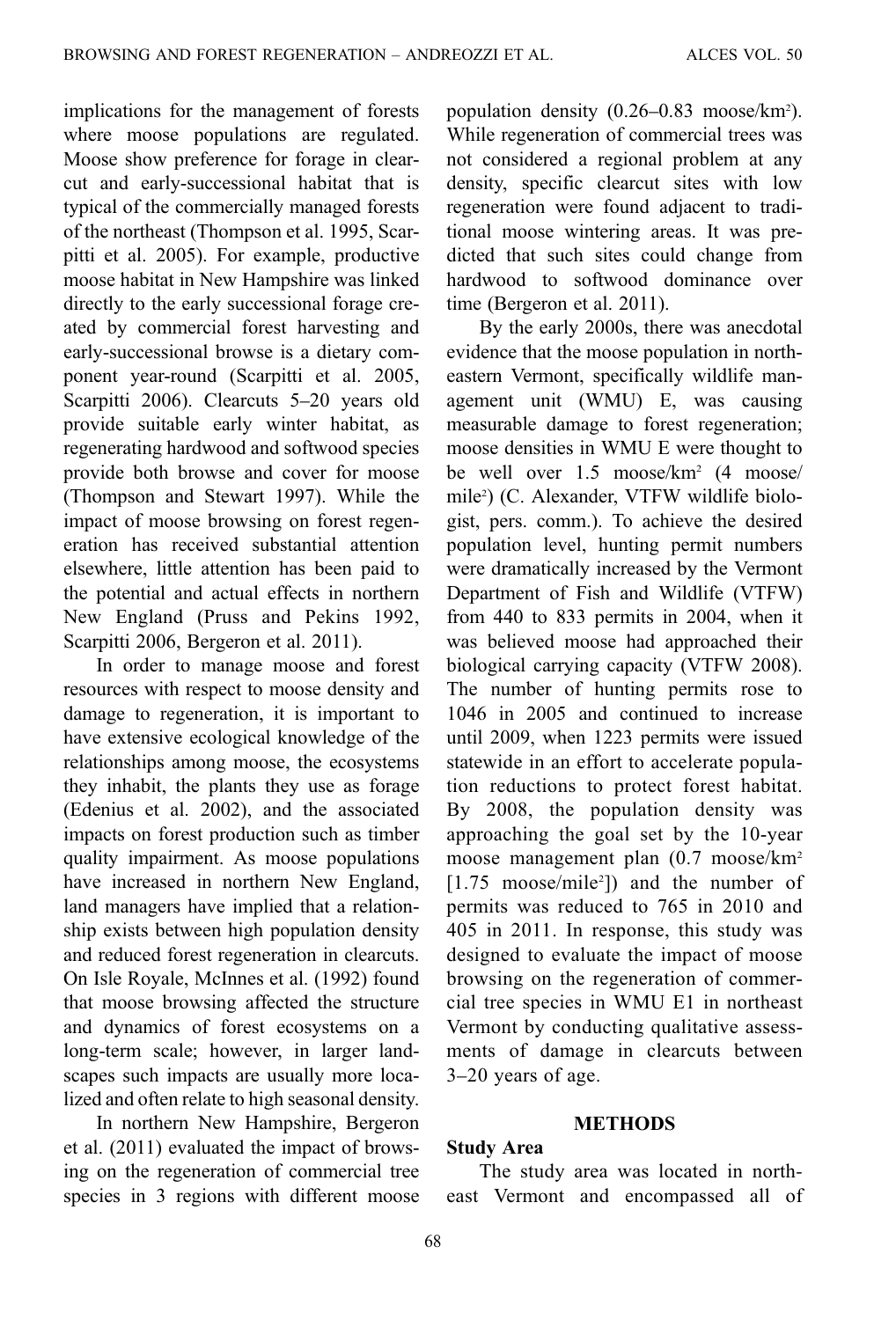implications for the management of forests where moose populations are regulated. Moose show preference for forage in clearcut and early-successional habitat that is typical of the commercially managed forests of the northeast (Thompson et al. 1995, Scarpitti et al. 2005). For example, productive moose habitat in New Hampshire was linked directly to the early successional forage created by commercial forest harvesting and early-successional browse is a dietary component year-round (Scarpitti et al. 2005, Scarpitti 2006). Clearcuts 5–20 years old provide suitable early winter habitat, as regenerating hardwood and softwood species provide both browse and cover for moose (Thompson and Stewart 1997). While the impact of moose browsing on forest regeneration has received substantial attention elsewhere, little attention has been paid to the potential and actual effects in northern New England (Pruss and Pekins 1992, Scarpitti 2006, Bergeron et al. 2011).

In order to manage moose and forest resources with respect to moose density and damage to regeneration, it is important to have extensive ecological knowledge of the relationships among moose, the ecosystems they inhabit, the plants they use as forage (Edenius et al. 2002), and the associated impacts on forest production such as timber quality impairment. As moose populations have increased in northern New England, land managers have implied that a relationship exists between high population density and reduced forest regeneration in clearcuts. On Isle Royale, McInnes et al. (1992) found that moose browsing affected the structure and dynamics of forest ecosystems on a long-term scale; however, in larger landscapes such impacts are usually more localized and often relate to high seasonal density.

In northern New Hampshire, Bergeron et al. (2011) evaluated the impact of browsing on the regeneration of commercial tree species in 3 regions with different moose

population density (0.26–0.83 moose/km2 ). While regeneration of commercial trees was not considered a regional problem at any density, specific clearcut sites with low regeneration were found adjacent to traditional moose wintering areas. It was predicted that such sites could change from hardwood to softwood dominance over time (Bergeron et al. 2011).

By the early 2000s, there was anecdotal evidence that the moose population in northeastern Vermont, specifically wildlife management unit (WMU) E, was causing measurable damage to forest regeneration; moose densities in WMU E were thought to be well over 1.5 moose/km2 (4 moose/ mile2 ) (C. Alexander, VTFW wildlife biologist, pers. comm.). To achieve the desired population level, hunting permit numbers were dramatically increased by the Vermont Department of Fish and Wildlife (VTFW) from 440 to 833 permits in 2004, when it was believed moose had approached their biological carrying capacity (VTFW 2008). The number of hunting permits rose to 1046 in 2005 and continued to increase until 2009, when 1223 permits were issued statewide in an effort to accelerate population reductions to protect forest habitat. By 2008, the population density was approaching the goal set by the 10-year moose management plan (0.7 moose/km2 [1.75 moose/mile2 ]) and the number of permits was reduced to 765 in 2010 and 405 in 2011. In response, this study was designed to evaluate the impact of moose browsing on the regeneration of commercial tree species in WMU E1 in northeast Vermont by conducting qualitative assessments of damage in clearcuts between 3–20 years of age.

#### **METHODS**

### Study Area

The study area was located in north‐ east Vermont and encompassed all of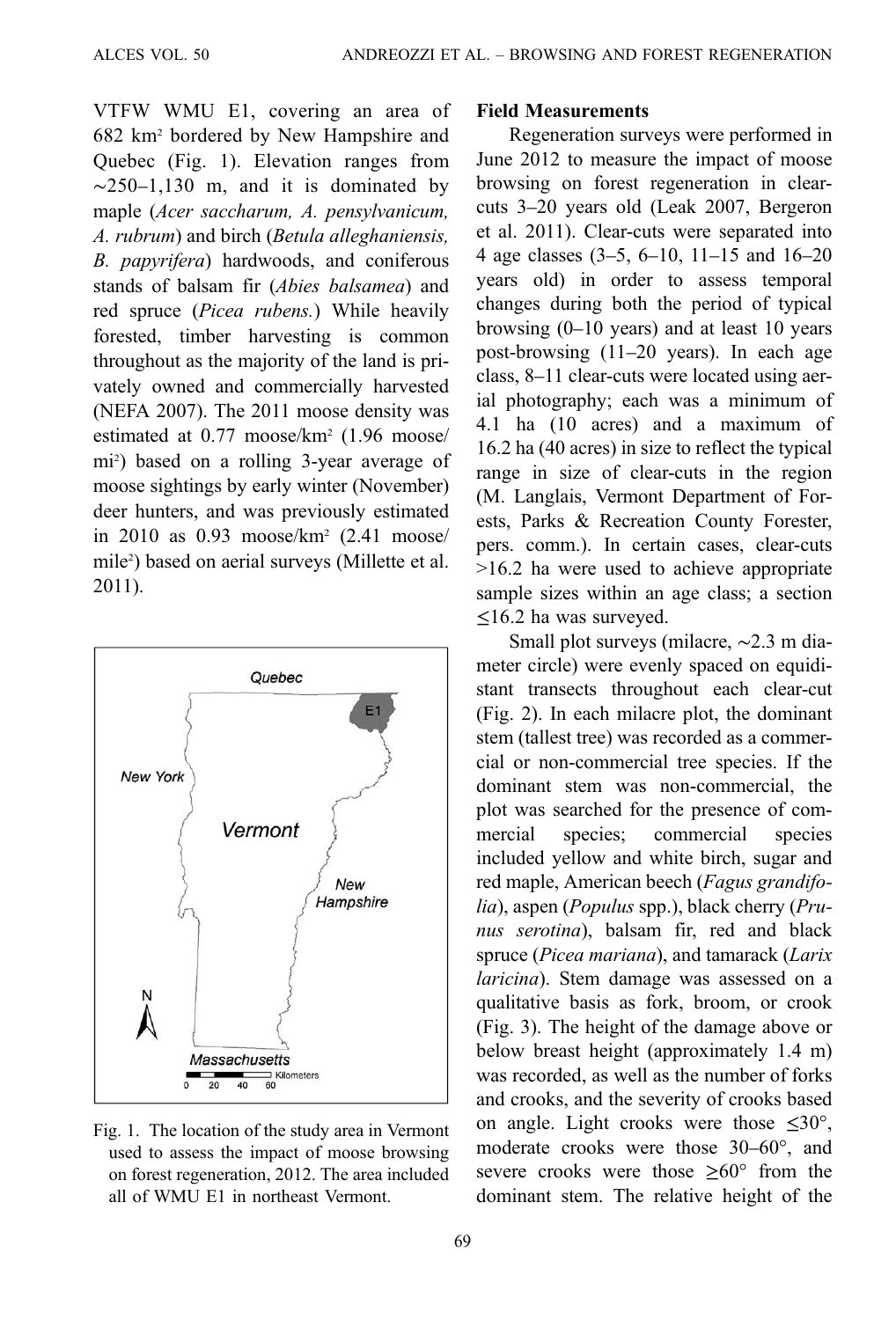VTFW WMU E1, covering an area of 682 km2 bordered by New Hampshire and Quebec (Fig. 1). Elevation ranges from  $\sim$ 250–1,130 m, and it is dominated by maple (Acer saccharum, A. pensylvanicum, A. rubrum) and birch (Betula alleghaniensis, B. papyrifera) hardwoods, and coniferous stands of balsam fir (Abies balsamea) and red spruce (Picea rubens.) While heavily forested, timber harvesting is common throughout as the majority of the land is privately owned and commercially harvested (NEFA 2007). The 2011 moose density was estimated at 0.77 moose/km2 (1.96 moose/ mi2 ) based on a rolling 3-year average of moose sightings by early winter (November) deer hunters, and was previously estimated in 2010 as 0.93 moose/km2 (2.41 moose/ mile2 ) based on aerial surveys (Millette et al. 2011).



Fig. 1. The location of the study area in Vermont used to assess the impact of moose browsing on forest regeneration, 2012. The area included all of WMU E1 in northeast Vermont.

### Field Measurements

Regeneration surveys were performed in June 2012 to measure the impact of moose browsing on forest regeneration in clearcuts 3–20 years old (Leak 2007, Bergeron et al. 2011). Clear-cuts were separated into 4 age classes (3–5, 6–10, 11–15 and 16–20 years old) in order to assess temporal changes during both the period of typical browsing (0–10 years) and at least 10 years post-browsing (11–20 years). In each age class, 8–11 clear-cuts were located using aerial photography; each was a minimum of 4.1 ha (10 acres) and a maximum of 16.2 ha (40 acres) in size to reflect the typical range in size of clear-cuts in the region (M. Langlais, Vermont Department of Forests, Parks & Recreation County Forester, pers. comm.). In certain cases, clear-cuts >16.2 ha were used to achieve appropriate sample sizes within an age class; a section ≤16.2 ha was surveyed.

Small plot surveys (milacre, ∼2.3 m diameter circle) were evenly spaced on equidistant transects throughout each clear-cut [\(Fig. 2\)](#page-3-0). In each milacre plot, the dominant stem (tallest tree) was recorded as a commercial or non-commercial tree species. If the dominant stem was non-commercial, the plot was searched for the presence of commercial species; commercial species included yellow and white birch, sugar and red maple, American beech (Fagus grandifolia), aspen (Populus spp.), black cherry (Prunus serotina), balsam fir, red and black spruce (Picea mariana), and tamarack (Larix laricina). Stem damage was assessed on a qualitative basis as fork, broom, or crook [\(Fig. 3](#page-3-0)). The height of the damage above or below breast height (approximately 1.4 m) was recorded, as well as the number of forks and crooks, and the severity of crooks based on angle. Light crooks were those  $\leq 30^{\circ}$ , moderate crooks were those 30–60°, and severe crooks were those  $>60^{\circ}$  from the dominant stem. The relative height of the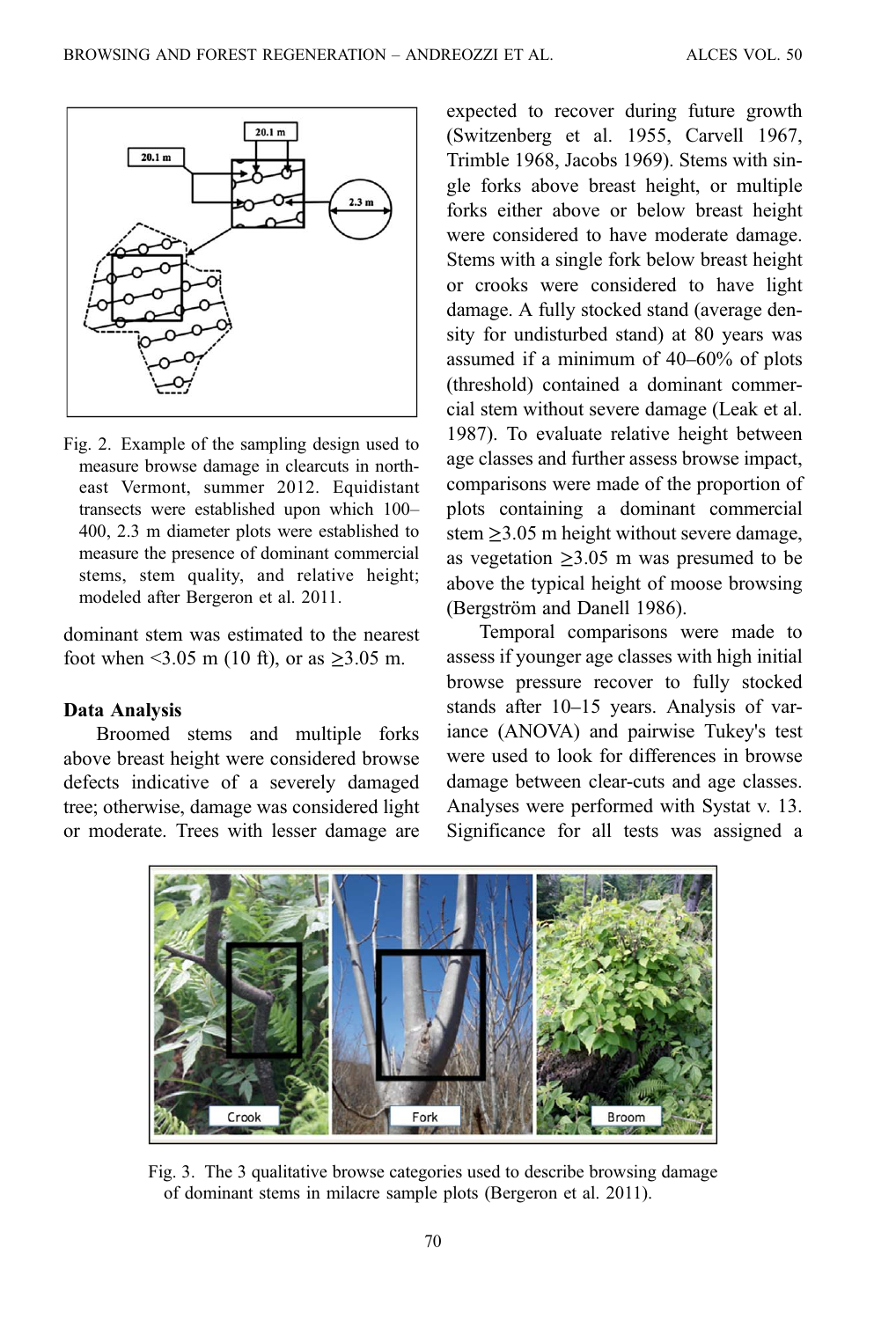<span id="page-3-0"></span>

Fig. 2. Example of the sampling design used to measure browse damage in clearcuts in northeast Vermont, summer 2012. Equidistant transects were established upon which 100– 400, 2.3 m diameter plots were established to measure the presence of dominant commercial stems, stem quality, and relative height; modeled after Bergeron et al. 2011.

dominant stem was estimated to the nearest foot when <3.05 m (10 ft), or as  $\geq 3.05$  m.

#### Data Analysis

Broomed stems and multiple forks above breast height were considered browse defects indicative of a severely damaged tree; otherwise, damage was considered light or moderate. Trees with lesser damage are

expected to recover during future growth (Switzenberg et al. 1955, Carvell 1967, Trimble 1968, Jacobs 1969). Stems with single forks above breast height, or multiple forks either above or below breast height were considered to have moderate damage. Stems with a single fork below breast height or crooks were considered to have light damage. A fully stocked stand (average density for undisturbed stand) at 80 years was assumed if a minimum of 40–60% of plots (threshold) contained a dominant commercial stem without severe damage (Leak et al. 1987). To evaluate relative height between age classes and further assess browse impact, comparisons were made of the proportion of plots containing a dominant commercial stem  $\geq$ 3.05 m height without severe damage, as vegetation  $\geq 3.05$  m was presumed to be above the typical height of moose browsing (Bergström and Danell 1986).

Temporal comparisons were made to assess if younger age classes with high initial browse pressure recover to fully stocked stands after 10–15 years. Analysis of variance (ANOVA) and pairwise Tukey's test were used to look for differences in browse damage between clear-cuts and age classes. Analyses were performed with Systat v. 13. Significance for all tests was assigned a



Fig. 3. The 3 qualitative browse categories used to describe browsing damage of dominant stems in milacre sample plots (Bergeron et al. 2011).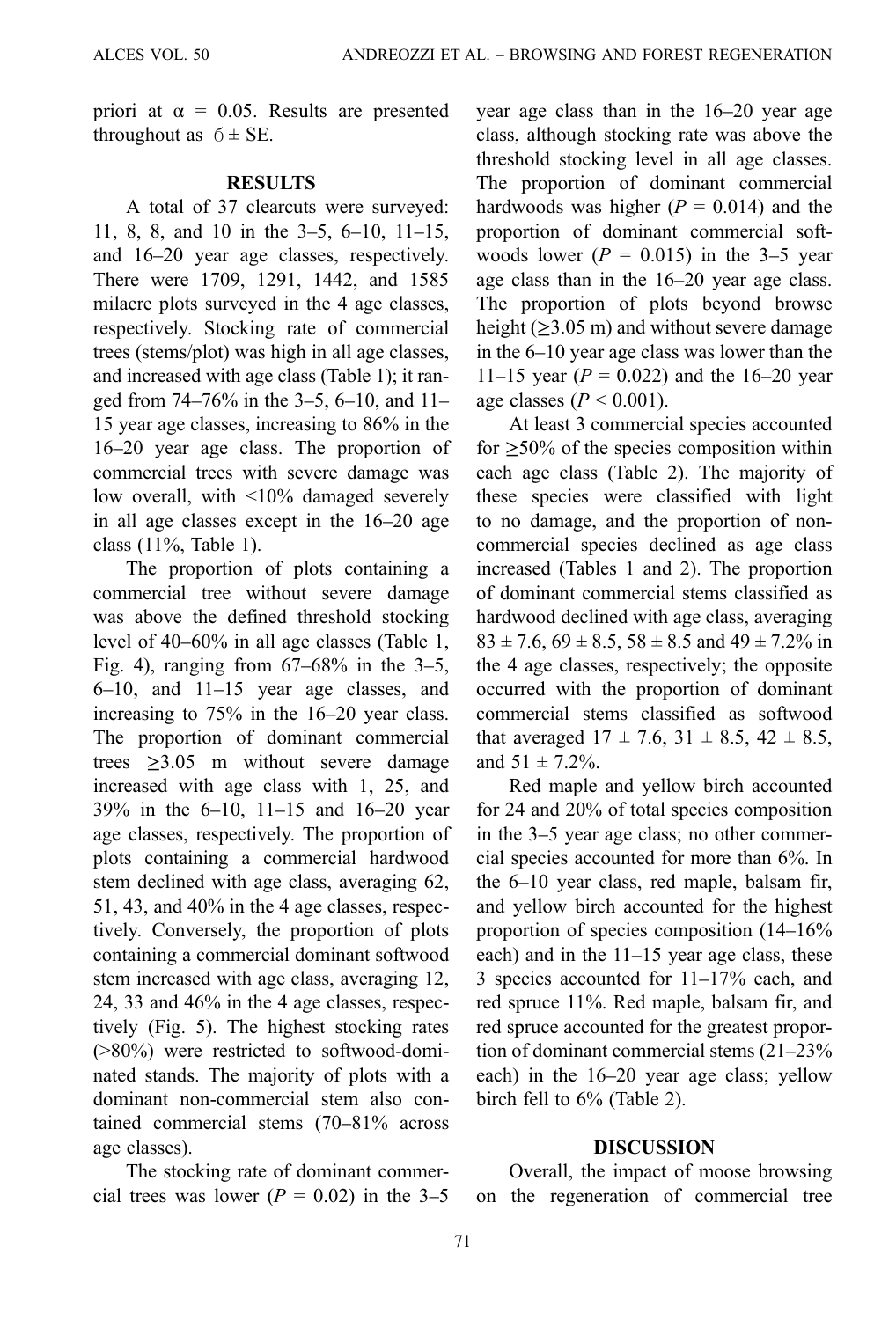priori at  $\alpha = 0.05$ . Results are presented throughout as  $6 \pm SE$ .

### RESULTS

A total of 37 clearcuts were surveyed: 11, 8, 8, and 10 in the 3–5, 6–10, 11–15, and 16–20 year age classes, respectively. There were 1709, 1291, 1442, and 1585 milacre plots surveyed in the 4 age classes, respectively. Stocking rate of commercial trees (stems/plot) was high in all age classes, and increased with age class [\(Table 1](#page-5-0)); it ranged from 74–76% in the 3–5, 6–10, and 11– 15 year age classes, increasing to 86% in the 16–20 year age class. The proportion of commercial trees with severe damage was low overall, with <10% damaged severely in all age classes except in the 16–20 age class (11%, [Table 1](#page-5-0)).

The proportion of plots containing a commercial tree without severe damage was above the defined threshold stocking level of 40–60% in all age classes [\(Table 1](#page-5-0), [Fig. 4\)](#page-5-0), ranging from 67–68% in the 3–5, 6–10, and 11–15 year age classes, and increasing to 75% in the 16–20 year class. The proportion of dominant commercial trees  $\geq 3.05$  m without severe damage increased with age class with 1, 25, and 39% in the 6–10, 11–15 and 16–20 year age classes, respectively. The proportion of plots containing a commercial hardwood stem declined with age class, averaging 62, 51, 43, and 40% in the 4 age classes, respectively. Conversely, the proportion of plots containing a commercial dominant softwood stem increased with age class, averaging 12, 24, 33 and 46% in the 4 age classes, respectively ([Fig. 5\)](#page-6-0). The highest stocking rates (>80%) were restricted to softwood-dominated stands. The majority of plots with a dominant non-commercial stem also contained commercial stems (70–81% across age classes).

The stocking rate of dominant commercial trees was lower ( $P = 0.02$ ) in the 3–5 year age class than in the 16–20 year age class, although stocking rate was above the threshold stocking level in all age classes. The proportion of dominant commercial hardwoods was higher ( $P = 0.014$ ) and the proportion of dominant commercial softwoods lower ( $P = 0.015$ ) in the 3–5 year age class than in the 16–20 year age class. The proportion of plots beyond browse height ( $\geq$ 3.05 m) and without severe damage in the 6–10 year age class was lower than the 11–15 year ( $P = 0.022$ ) and the 16–20 year age classes ( $P < 0.001$ ).

At least 3 commercial species accounted for  $\geq 50\%$  of the species composition within each age class [\(Table 2\)](#page-7-0). The majority of these species were classified with light to no damage, and the proportion of noncommercial species declined as age class increased ([Tables 1](#page-5-0) and [2\)](#page-7-0). The proportion of dominant commercial stems classified as hardwood declined with age class, averaging  $83 \pm 7.6$ ,  $69 \pm 8.5$ ,  $58 \pm 8.5$  and  $49 \pm 7.2$ % in the 4 age classes, respectively; the opposite occurred with the proportion of dominant commercial stems classified as softwood that averaged  $17 \pm 7.6$ ,  $31 \pm 8.5$ ,  $42 \pm 8.5$ , and  $51 \pm 7.2\%$ .

Red maple and yellow birch accounted for 24 and 20% of total species composition in the 3–5 year age class; no other commercial species accounted for more than 6%. In the 6–10 year class, red maple, balsam fir, and yellow birch accounted for the highest proportion of species composition (14–16% each) and in the 11–15 year age class, these 3 species accounted for 11–17% each, and red spruce 11%. Red maple, balsam fir, and red spruce accounted for the greatest proportion of dominant commercial stems (21–23% each) in the 16–20 year age class; yellow birch fell to 6% ([Table 2\)](#page-7-0).

#### DISCUSSION

Overall, the impact of moose browsing on the regeneration of commercial tree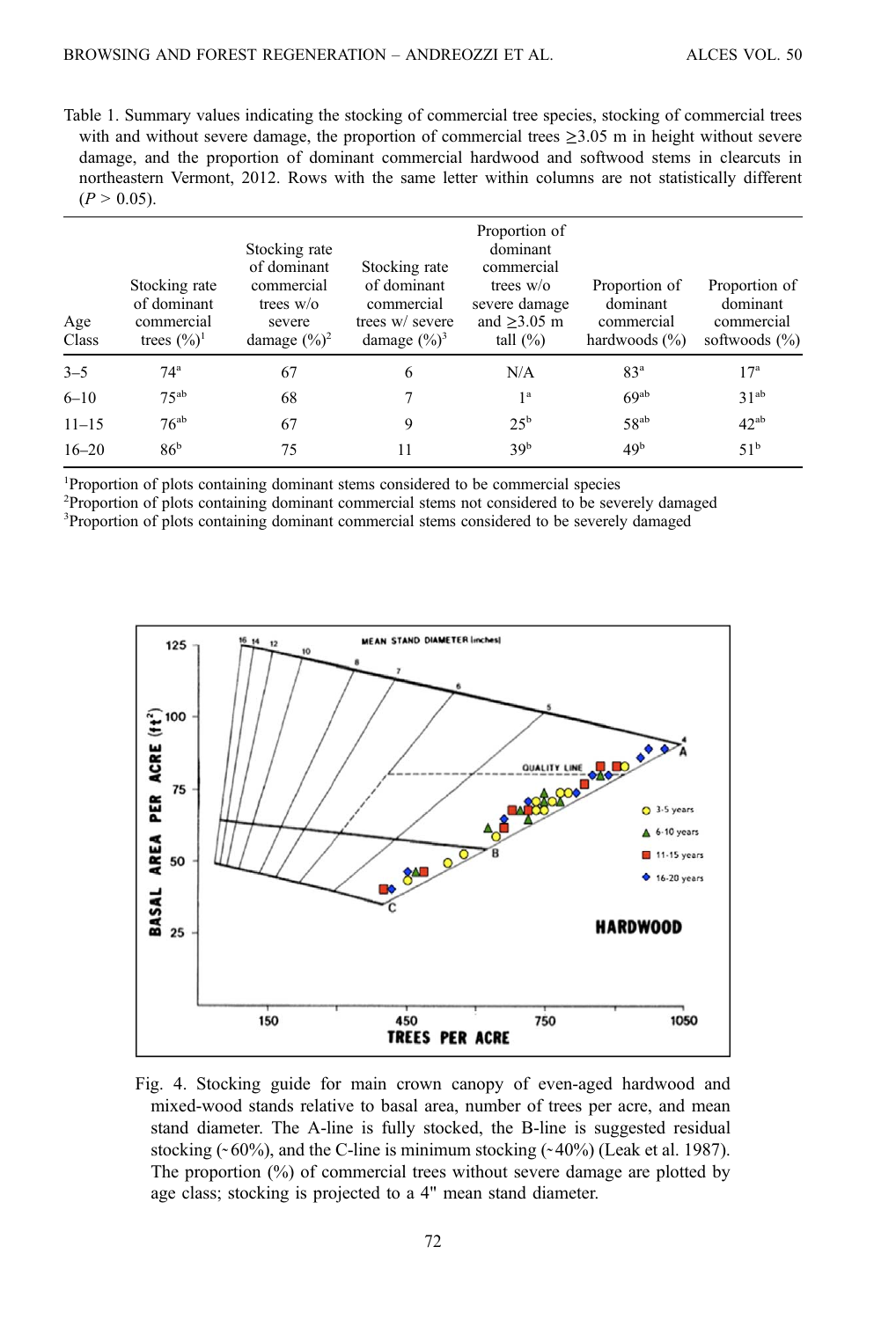<span id="page-5-0"></span>Table 1. Summary values indicating the stocking of commercial tree species, stocking of commercial trees with and without severe damage, the proportion of commercial trees  $\geq$ 3.05 m in height without severe damage, and the proportion of dominant commercial hardwood and softwood stems in clearcuts in northeastern Vermont, 2012. Rows with the same letter within columns are not statistically different  $(P > 0.05)$ .

| Age<br>Class | Stocking rate<br>of dominant<br>commercial<br>trees $(\frac{6}{6})^1$ | Stocking rate<br>of dominant<br>commercial<br>trees $w/o$<br>severe<br>damage $(\frac{9}{6})^2$ | Stocking rate<br>of dominant<br>commercial<br>trees w/ severe<br>damage $(\%)^3$ | Proportion of<br>dominant<br>commercial<br>trees $w$ o<br>severe damage<br>and $\geq$ 3.05 m<br>tall $(\%)$ | Proportion of<br>dominant<br>commercial<br>hardwoods $(\% )$ | Proportion of<br>dominant<br>commercial<br>softwoods $(\% )$ |
|--------------|-----------------------------------------------------------------------|-------------------------------------------------------------------------------------------------|----------------------------------------------------------------------------------|-------------------------------------------------------------------------------------------------------------|--------------------------------------------------------------|--------------------------------------------------------------|
| $3 - 5$      | 74 <sup>a</sup>                                                       | 67                                                                                              | 6                                                                                | N/A                                                                                                         | 83 <sup>a</sup>                                              | 17 <sup>a</sup>                                              |
| $6 - 10$     | $75^{ab}$                                                             | 68                                                                                              |                                                                                  | 1 <sup>a</sup>                                                                                              | 69 <sup>ab</sup>                                             | 31 <sup>ab</sup>                                             |
| $11 - 15$    | $76^{ab}$                                                             | 67                                                                                              | 9                                                                                | $25^{\rm b}$                                                                                                | $58^{ab}$                                                    | $42^{ab}$                                                    |
| $16 - 20$    | 86 <sup>b</sup>                                                       | 75                                                                                              | 11                                                                               | 39 <sup>b</sup>                                                                                             | 49 <sup>b</sup>                                              | 51 <sup>b</sup>                                              |

<sup>1</sup>Proportion of plots containing dominant stems considered to be commercial species

<sup>2</sup>Proportion of plots containing dominant commercial stems not considered to be severely damaged

<sup>3</sup>Proportion of plots containing dominant commercial stems considered to be severely damaged



Fig. 4. Stocking guide for main crown canopy of even-aged hardwood and mixed-wood stands relative to basal area, number of trees per acre, and mean stand diameter. The A-line is fully stocked, the B-line is suggested residual stocking  $(~60\%)$ , and the C-line is minimum stocking  $(~40\%)$  (Leak et al. 1987). The proportion (%) of commercial trees without severe damage are plotted by age class; stocking is projected to a 4" mean stand diameter.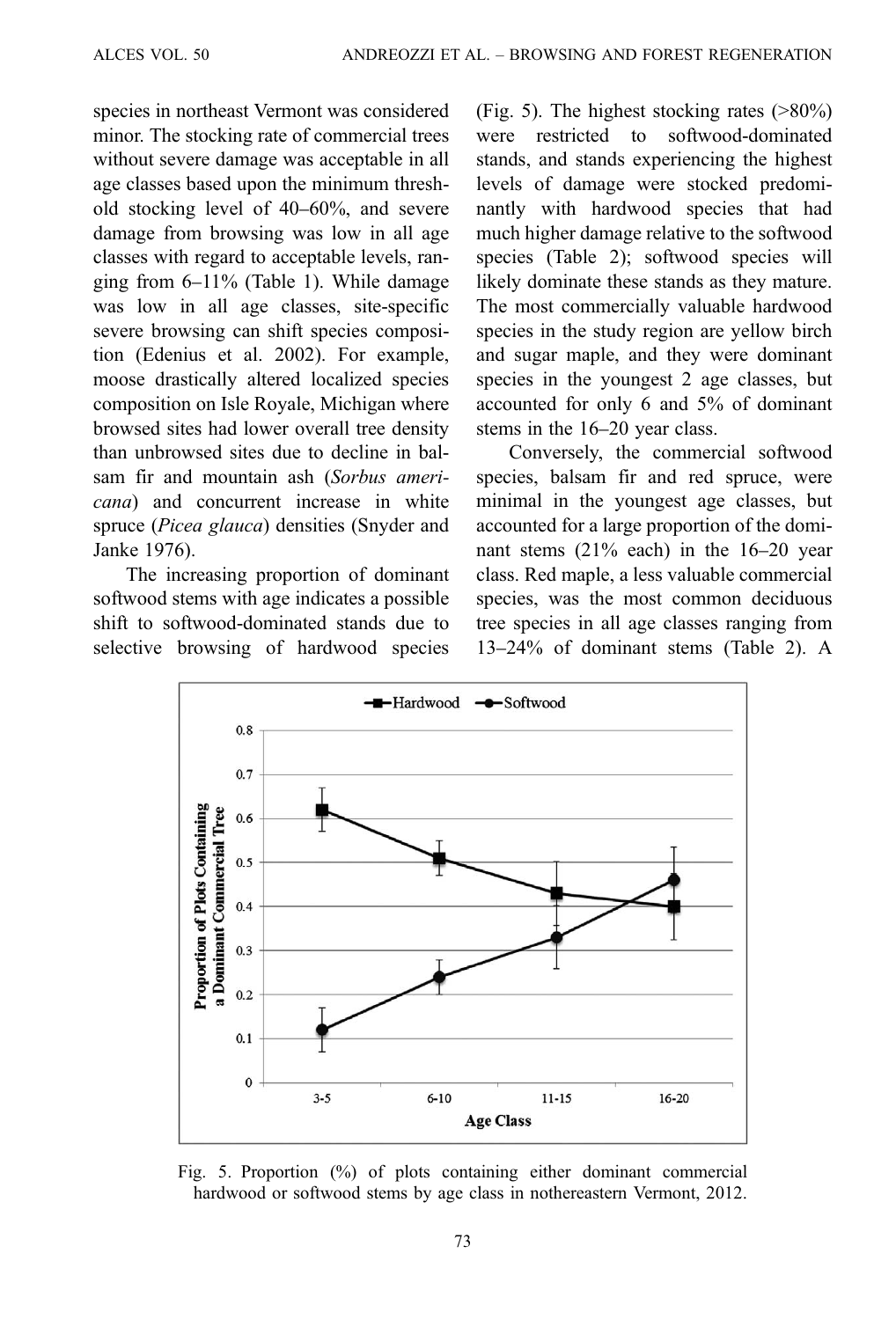<span id="page-6-0"></span>species in northeast Vermont was considered minor. The stocking rate of commercial trees without severe damage was acceptable in all age classes based upon the minimum threshold stocking level of 40–60%, and severe damage from browsing was low in all age classes with regard to acceptable levels, ranging from 6–11% ([Table 1](#page-5-0)). While damage was low in all age classes, site-specific severe browsing can shift species composition (Edenius et al. 2002). For example, moose drastically altered localized species composition on Isle Royale, Michigan where browsed sites had lower overall tree density than unbrowsed sites due to decline in balsam fir and mountain ash (Sorbus americana) and concurrent increase in white spruce (Picea glauca) densities (Snyder and Janke 1976).

The increasing proportion of dominant softwood stems with age indicates a possible shift to softwood-dominated stands due to selective browsing of hardwood species (Fig. 5). The highest stocking rates (>80%) were restricted to softwood-dominated stands, and stands experiencing the highest levels of damage were stocked predominantly with hardwood species that had much higher damage relative to the softwood species ([Table 2](#page-7-0)); softwood species will likely dominate these stands as they mature. The most commercially valuable hardwood species in the study region are yellow birch and sugar maple, and they were dominant species in the youngest 2 age classes, but accounted for only 6 and 5% of dominant stems in the 16–20 year class.

Conversely, the commercial softwood species, balsam fir and red spruce, were minimal in the youngest age classes, but accounted for a large proportion of the dominant stems (21% each) in the 16–20 year class. Red maple, a less valuable commercial species, was the most common deciduous tree species in all age classes ranging from 13–24% of dominant stems ([Table 2](#page-7-0)). A



Fig. 5. Proportion (%) of plots containing either dominant commercial hardwood or softwood stems by age class in nothereastern Vermont, 2012.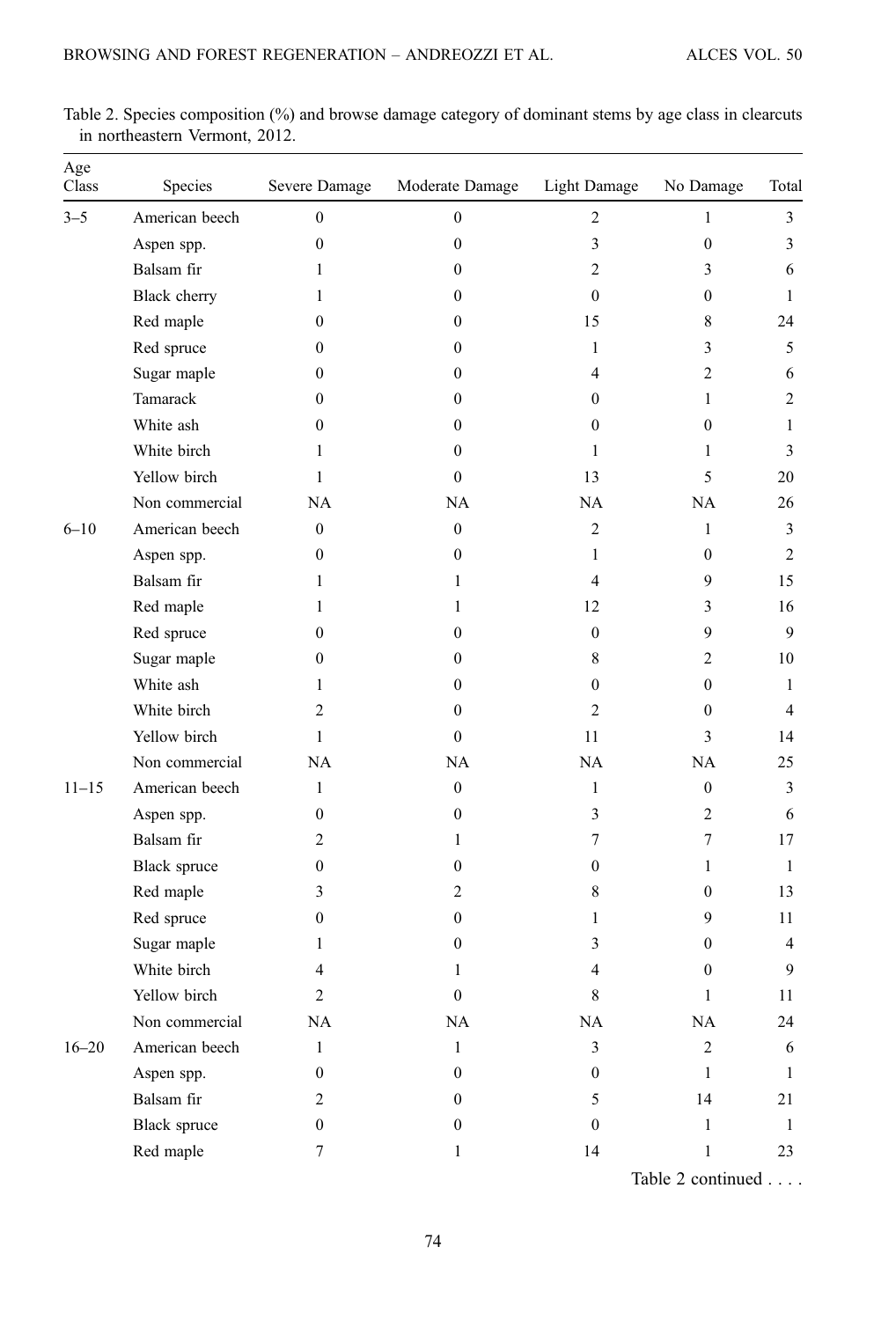| Age<br>Class | Species             | Severe Damage    | Moderate Damage  | <b>Light Damage</b> | No Damage        | Total        |
|--------------|---------------------|------------------|------------------|---------------------|------------------|--------------|
| $3 - 5$      | American beech      | $\mathbf{0}$     | $\mathbf{0}$     | $\overline{2}$      | $\mathbf{1}$     | 3            |
|              | Aspen spp.          | $\boldsymbol{0}$ | $\boldsymbol{0}$ | 3                   | $\boldsymbol{0}$ | 3            |
|              | Balsam fir          | 1                | $\theta$         | 2                   | 3                | 6            |
|              | Black cherry        | 1                | $\mathbf{0}$     | $\theta$            | $\overline{0}$   | 1            |
|              | Red maple           | $\mathbf{0}$     | $\boldsymbol{0}$ | 15                  | 8                | 24           |
|              | Red spruce          | 0                | $\mathbf{0}$     | $\mathbf{1}$        | 3                | 5            |
|              | Sugar maple         | 0                | $\mathbf{0}$     | 4                   | $\overline{2}$   | 6            |
|              | Tamarack            | 0                | $\mathbf{0}$     | $\mathbf{0}$        | $\mathbf{1}$     | 2            |
|              | White ash           | $\mathbf{0}$     | $\mathbf{0}$     | $\theta$            | $\overline{0}$   | 1            |
|              | White birch         | 1                | $\mathbf{0}$     | $\mathbf{1}$        | $\mathbf{1}$     | 3            |
|              | Yellow birch        | 1                | $\mathbf{0}$     | 13                  | 5                | 20           |
|              | Non commercial      | NA               | <b>NA</b>        | <b>NA</b>           | <b>NA</b>        | 26           |
| $6 - 10$     | American beech      | $\mathbf{0}$     | $\mathbf{0}$     | 2                   | $\mathbf{1}$     | 3            |
|              | Aspen spp.          | 0                | $\mathbf{0}$     | $\mathbf{1}$        | $\overline{0}$   | 2            |
|              | Balsam fir          | 1                | 1                | $\overline{4}$      | 9                | 15           |
|              | Red maple           | 1                | 1                | 12                  | 3                | 16           |
|              | Red spruce          | $\mathbf{0}$     | $\mathbf{0}$     | $\overline{0}$      | 9                | 9            |
|              | Sugar maple         | 0                | $\mathbf{0}$     | 8                   | $\overline{2}$   | 10           |
|              | White ash           | 1                | $\bf{0}$         | $\mathbf{0}$        | $\overline{0}$   | 1            |
|              | White birch         | 2                | $\theta$         | 2                   | $\theta$         | 4            |
|              | Yellow birch        | 1                | $\mathbf{0}$     | 11                  | 3                | 14           |
|              | Non commercial      | NA               | <b>NA</b>        | <b>NA</b>           | <b>NA</b>        | 25           |
| $11 - 15$    | American beech      | 1                | $\mathbf{0}$     | $\mathbf{1}$        | $\mathbf{0}$     | 3            |
|              | Aspen spp.          | $\mathbf{0}$     | $\mathbf{0}$     | 3                   | 2                | 6            |
|              | Balsam fir          | $\overline{2}$   | 1                | 7                   | 7                | 17           |
|              | Black spruce        | $\mathbf{0}$     | $\mathbf{0}$     | $\theta$            | $\mathbf{1}$     | 1            |
|              | Red maple           | 3                | 2                | 8                   | $\boldsymbol{0}$ | 13           |
|              | Red spruce          | 0                | $\mathbf{0}$     | 1                   | 9                | 11           |
|              | Sugar maple         | 1                | $\mathbf{0}$     | 3                   | $\mathbf{0}$     | 4            |
|              | White birch         | 4                | 1                | 4                   | $\bf{0}$         | 9            |
|              | Yellow birch        | $\overline{c}$   | $\mathbf{0}$     | 8                   | $\mathbf{1}$     | 11           |
|              | Non commercial      | NA               | NA               | $\rm NA$            | NA               | 24           |
| $16 - 20$    | American beech      | $\mathbf{1}$     | $\mathbf{1}$     | 3                   | $\overline{2}$   | 6            |
|              | Aspen spp.          | $\boldsymbol{0}$ | $\boldsymbol{0}$ | $\mathbf{0}$        | $\mathbf{1}$     | $\mathbf{1}$ |
|              | Balsam fir          | $\overline{2}$   | $\boldsymbol{0}$ | 5                   | 14               | 21           |
|              | <b>Black</b> spruce | $\boldsymbol{0}$ | $\boldsymbol{0}$ | $\mathbf{0}$        | $\mathbf{1}$     | $\mathbf{1}$ |
|              | Red maple           | $\boldsymbol{7}$ | $\mathbf{1}$     | 14                  | $\mathbf{1}$     | 23           |

<span id="page-7-0"></span>Table 2. Species composition (%) and browse damage category of dominant stems by age class in clearcuts in northeastern Vermont, 2012.

Table 2 continued . . . .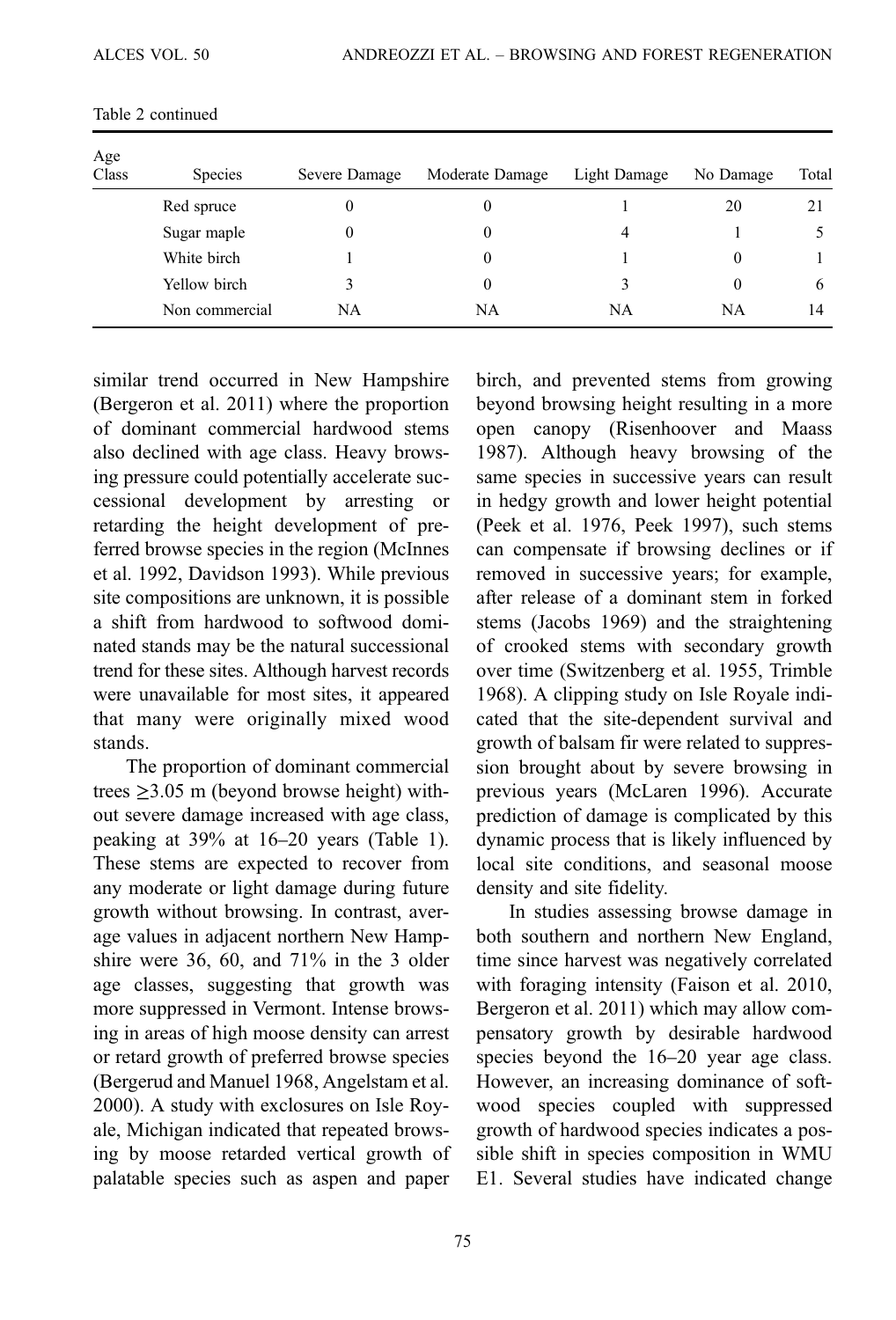| Age<br>Class | <b>Species</b> | Severe Damage | Moderate Damage | Light Damage | No Damage | Total        |
|--------------|----------------|---------------|-----------------|--------------|-----------|--------------|
|              | Red spruce     | $\theta$      | 0               |              | 20        | 21           |
|              | Sugar maple    |               | 0               | 4            |           |              |
|              | White birch    |               | $^{(1)}$        |              | $\theta$  |              |
|              | Yellow birch   | 3             | 0               |              | $\Omega$  | <sub>0</sub> |
|              | Non commercial | NA            | NA              | NA           | <b>NA</b> | 14           |

Table 2 continued

similar trend occurred in New Hampshire (Bergeron et al. 2011) where the proportion of dominant commercial hardwood stems also declined with age class. Heavy browsing pressure could potentially accelerate successional development by arresting or retarding the height development of preferred browse species in the region (McInnes et al. 1992, Davidson 1993). While previous site compositions are unknown, it is possible a shift from hardwood to softwood dominated stands may be the natural successional trend for these sites. Although harvest records were unavailable for most sites, it appeared that many were originally mixed wood stands.

The proportion of dominant commercial trees  $\geq$ 3.05 m (beyond browse height) without severe damage increased with age class, peaking at 39% at 16–20 years [\(Table 1\)](#page-5-0). These stems are expected to recover from any moderate or light damage during future growth without browsing. In contrast, average values in adjacent northern New Hampshire were 36, 60, and 71% in the 3 older age classes, suggesting that growth was more suppressed in Vermont. Intense browsing in areas of high moose density can arrest or retard growth of preferred browse species (Bergerud and Manuel 1968, Angelstam et al. 2000). A study with exclosures on Isle Royale, Michigan indicated that repeated browsing by moose retarded vertical growth of palatable species such as aspen and paper

birch, and prevented stems from growing beyond browsing height resulting in a more open canopy (Risenhoover and Maass 1987). Although heavy browsing of the same species in successive years can result in hedgy growth and lower height potential (Peek et al. 1976, Peek 1997), such stems can compensate if browsing declines or if removed in successive years; for example, after release of a dominant stem in forked stems (Jacobs 1969) and the straightening of crooked stems with secondary growth over time (Switzenberg et al. 1955, Trimble 1968). A clipping study on Isle Royale indicated that the site-dependent survival and growth of balsam fir were related to suppression brought about by severe browsing in previous years (McLaren 1996). Accurate prediction of damage is complicated by this dynamic process that is likely influenced by local site conditions, and seasonal moose density and site fidelity.

In studies assessing browse damage in both southern and northern New England, time since harvest was negatively correlated with foraging intensity (Faison et al. 2010, Bergeron et al. 2011) which may allow compensatory growth by desirable hardwood species beyond the  $16-20$  year age class. However, an increasing dominance of softwood species coupled with suppressed growth of hardwood species indicates a possible shift in species composition in WMU E1. Several studies have indicated change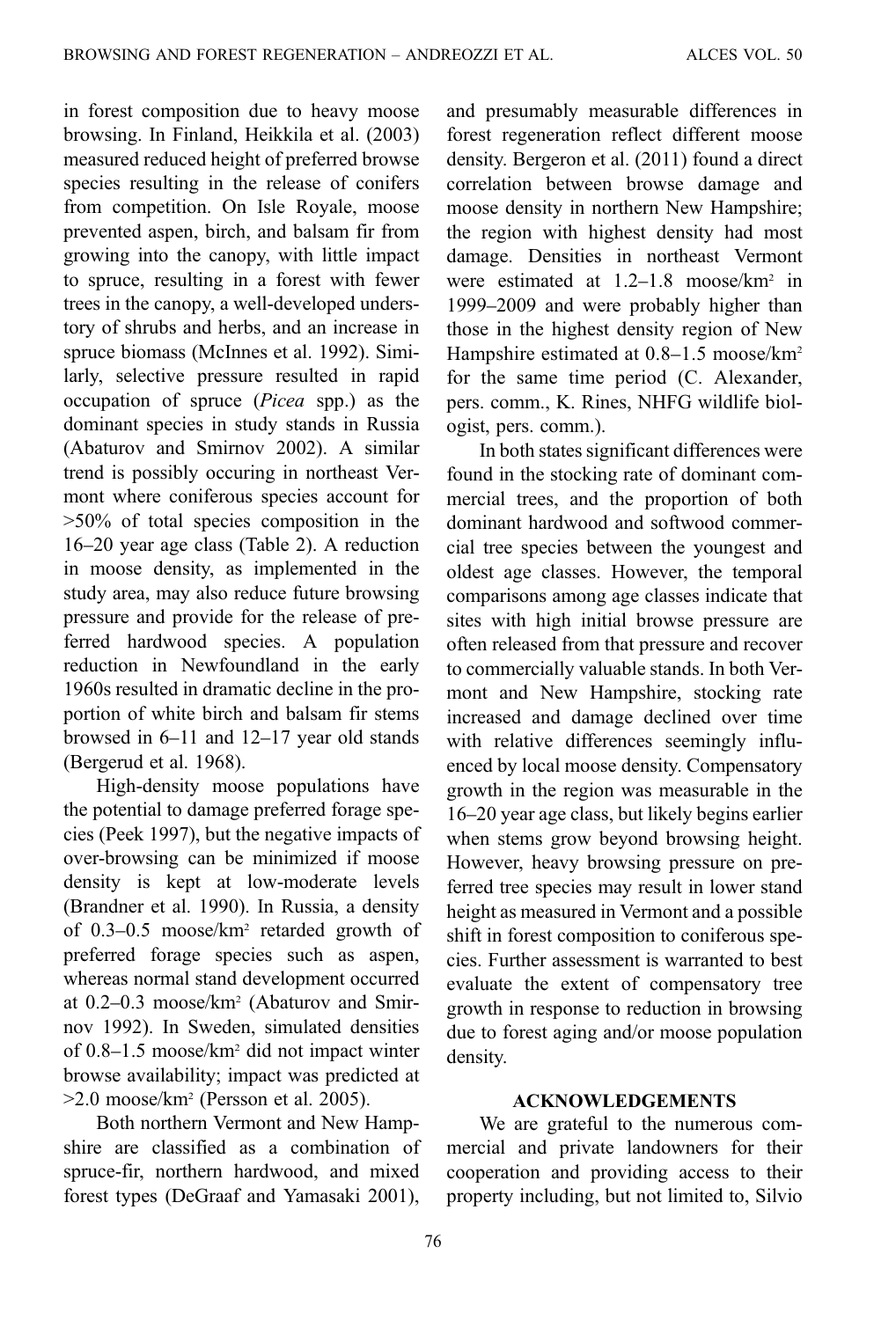in forest composition due to heavy moose browsing. In Finland, Heikkila et al. (2003) measured reduced height of preferred browse species resulting in the release of conifers from competition. On Isle Royale, moose prevented aspen, birch, and balsam fir from growing into the canopy, with little impact to spruce, resulting in a forest with fewer trees in the canopy, a well-developed understory of shrubs and herbs, and an increase in spruce biomass (McInnes et al. 1992). Similarly, selective pressure resulted in rapid occupation of spruce (Picea spp.) as the dominant species in study stands in Russia (Abaturov and Smirnov 2002). A similar trend is possibly occuring in northeast Vermont where coniferous species account for >50% of total species composition in the 16–20 year age class [\(Table 2](#page-7-0)). A reduction in moose density, as implemented in the study area, may also reduce future browsing pressure and provide for the release of preferred hardwood species. A population reduction in Newfoundland in the early 1960s resulted in dramatic decline in the proportion of white birch and balsam fir stems browsed in 6–11 and 12–17 year old stands (Bergerud et al. 1968).

High-density moose populations have the potential to damage preferred forage species (Peek 1997), but the negative impacts of over-browsing can be minimized if moose density is kept at low-moderate levels (Brandner et al. 1990). In Russia, a density of 0.3–0.5 moose/km2 retarded growth of preferred forage species such as aspen, whereas normal stand development occurred at 0.2–0.3 moose/km2 (Abaturov and Smirnov 1992). In Sweden, simulated densities of 0.8–1.5 moose/km2 did not impact winter browse availability; impact was predicted at  $>2.0$  moose/km<sup>2</sup> (Persson et al. 2005).

Both northern Vermont and New Hampshire are classified as a combination of spruce-fir, northern hardwood, and mixed forest types (DeGraaf and Yamasaki 2001),

and presumably measurable differences in forest regeneration reflect different moose density. Bergeron et al. (2011) found a direct correlation between browse damage and moose density in northern New Hampshire; the region with highest density had most damage. Densities in northeast Vermont were estimated at 1.2–1.8 moose/km<sup>2</sup> in 1999–2009 and were probably higher than those in the highest density region of New Hampshire estimated at  $0.8-1.5$  moose/km<sup>2</sup> for the same time period (C. Alexander, pers. comm., K. Rines, NHFG wildlife biologist, pers. comm.).

In both states significant differences were found in the stocking rate of dominant commercial trees, and the proportion of both dominant hardwood and softwood commercial tree species between the youngest and oldest age classes. However, the temporal comparisons among age classes indicate that sites with high initial browse pressure are often released from that pressure and recover to commercially valuable stands. In both Vermont and New Hampshire, stocking rate increased and damage declined over time with relative differences seemingly influenced by local moose density. Compensatory growth in the region was measurable in the 16–20 year age class, but likely begins earlier when stems grow beyond browsing height. However, heavy browsing pressure on preferred tree species may result in lower stand height as measured in Vermont and a possible shift in forest composition to coniferous species. Further assessment is warranted to best evaluate the extent of compensatory tree growth in response to reduction in browsing due to forest aging and/or moose population density.

## ACKNOWLEDGEMENTS

We are grateful to the numerous commercial and private landowners for their cooperation and providing access to their property including, but not limited to, Silvio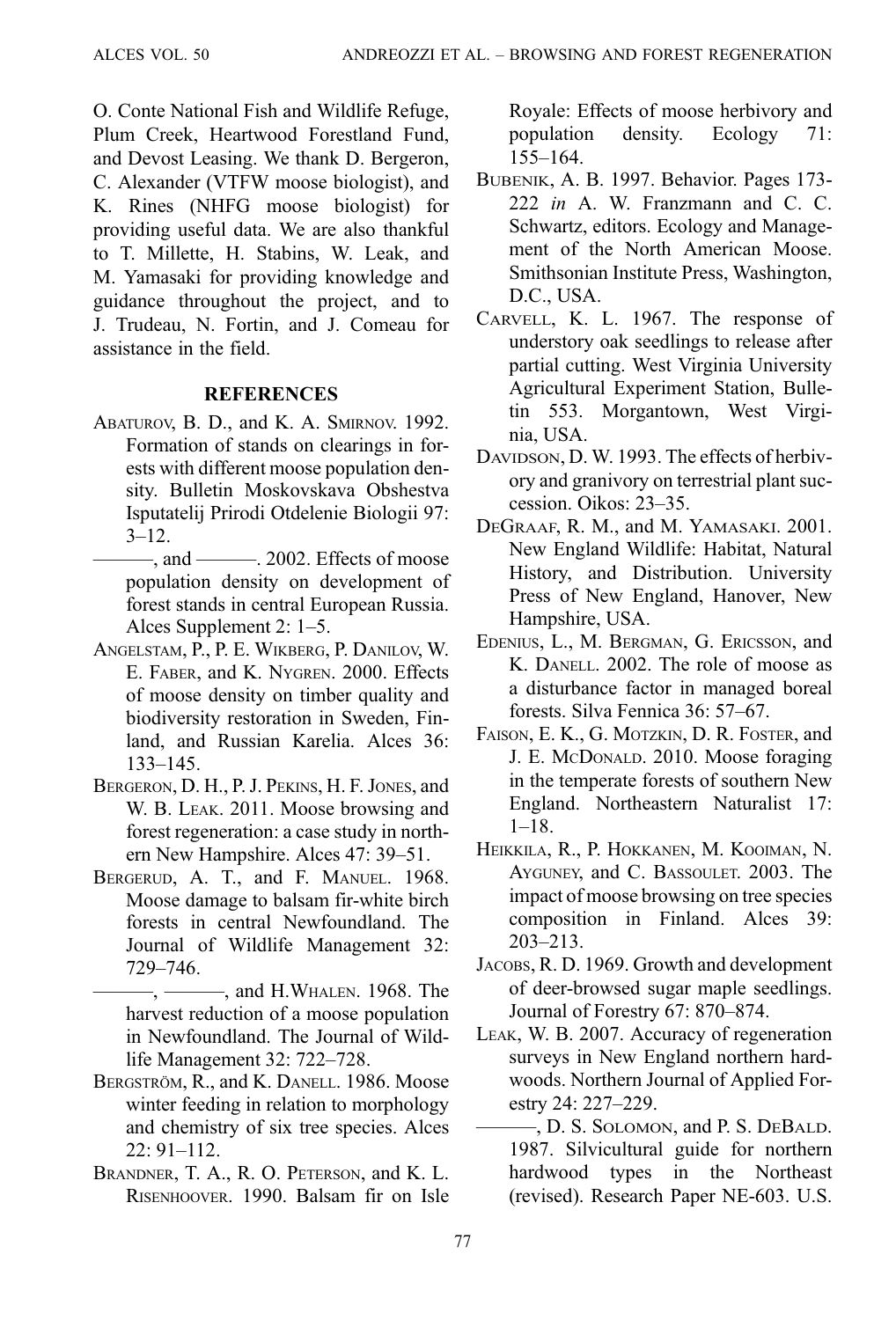O. Conte National Fish and Wildlife Refuge, Plum Creek, Heartwood Forestland Fund, and Devost Leasing. We thank D. Bergeron, C. Alexander (VTFW moose biologist), and K. Rines (NHFG moose biologist) for providing useful data. We are also thankful to T. Millette, H. Stabins, W. Leak, and M. Yamasaki for providing knowledge and guidance throughout the project, and to J. Trudeau, N. Fortin, and J. Comeau for assistance in the field.

# **REFERENCES**

- ABATUROV, B. D., and K. A. SMIRNOV. 1992. Formation of stands on clearings in forests with different moose population density. Bulletin Moskovskava Obshestva Isputatelij Prirodi Otdelenie Biologii 97:  $3 - 12$ .
- $-$ , and  $-$  2002. Effects of moose population density on development of forest stands in central European Russia. Alces Supplement 2: 1–5.
- ANGELSTAM, P., P. E. WIKBERG, P. DANILOV, W. E. FABER, and K. NYGREN. 2000. Effects of moose density on timber quality and biodiversity restoration in Sweden, Finland, and Russian Karelia. Alces 36: 133–145.
- BERGERON, D. H., P. J. PEKINS, H. F. JONES, and W. B. LEAK. 2011. Moose browsing and forest regeneration: a case study in northern New Hampshire. Alces 47: 39–51.
- BERGERUD, A. T., and F. MANUEL. 1968. Moose damage to balsam fir-white birch forests in central Newfoundland. The Journal of Wildlife Management 32: 729–746.
	- —, ———, and H.WHALEN. 1968. The harvest reduction of a moose population in Newfoundland. The Journal of Wildlife Management 32: 722–728.
- BERGSTRÖM, R., and K. DANELL. 1986. Moose winter feeding in relation to morphology and chemistry of six tree species. Alces 22: 91–112.
- BRANDNER, T. A., R. O. PETERSON, and K. L. RISENHOOVER. 1990. Balsam fir on Isle

Royale: Effects of moose herbivory and population density. Ecology 71: 155–164.

- BUBENIK, A. B. 1997. Behavior. Pages 173- 222 in A. W. Franzmann and C. C. Schwartz, editors. Ecology and Management of the North American Moose. Smithsonian Institute Press, Washington, D.C., USA.
- CARVELL, K. L. 1967. The response of understory oak seedlings to release after partial cutting. West Virginia University Agricultural Experiment Station, Bulletin 553. Morgantown, West Virginia, USA.
- DAVIDSON, D. W. 1993. The effects of herbivory and granivory on terrestrial plant succession. Oikos: 23–35.
- DEGRAAF, R. M., and M. YAMASAKI. 2001. New England Wildlife: Habitat, Natural History, and Distribution. University Press of New England, Hanover, New Hampshire, USA.
- EDENIUS, L., M. BERGMAN, G. ERICSSON, and K. DANELL. 2002. The role of moose as a disturbance factor in managed boreal forests. Silva Fennica 36: 57–67.
- FAISON, E. K., G. MOTZKIN, D. R. FOSTER, and J. E. MCDONALD. 2010. Moose foraging in the temperate forests of southern New England. Northeastern Naturalist 17:  $1-18.$
- HEIKKILA, R., P. HOKKANEN, M. KOOIMAN, N. AYGUNEY, and C. BASSOULET. 2003. The impact of moose browsing on tree species composition in Finland. Alces 39: 203–213.
- JACOBS, R. D. 1969. Growth and development of deer-browsed sugar maple seedlings. Journal of Forestry 67: 870–874.
- LEAK, W. B. 2007. Accuracy of regeneration surveys in New England northern hardwoods. Northern Journal of Applied Forestry 24: 227–229.
- ———, D. S. SOLOMON, and P. S. DEBALD. 1987. Silvicultural guide for northern hardwood types in the Northeast (revised). Research Paper NE-603. U.S.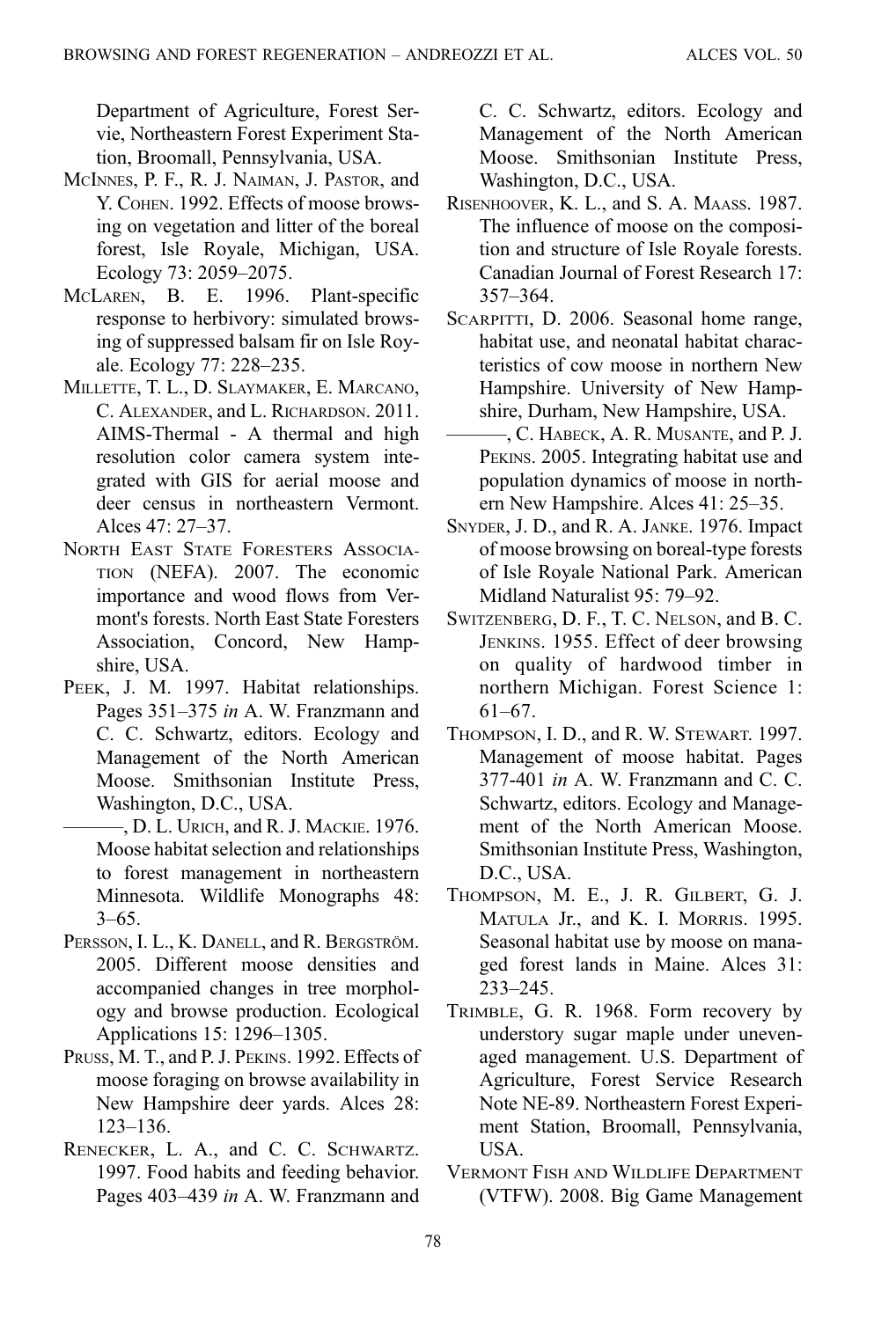Department of Agriculture, Forest Servie, Northeastern Forest Experiment Station, Broomall, Pennsylvania, USA.

- MCINNES, P. F., R. J. NAIMAN, J. PASTOR, and Y. COHEN. 1992. Effects of moose browsing on vegetation and litter of the boreal forest, Isle Royale, Michigan, USA. Ecology 73: 2059–2075.
- MCLAREN, B. E. 1996. Plant-specific response to herbivory: simulated browsing of suppressed balsam fir on Isle Royale. Ecology 77: 228–235.
- MILLETTE, T. L., D. SLAYMAKER, E. MARCANO, C. ALEXANDER, and L. RICHARDSON. 2011. AIMS-Thermal - A thermal and high resolution color camera system integrated with GIS for aerial moose and deer census in northeastern Vermont. Alces  $47 \cdot 27 - 37$ .
- NORTH EAST STATE FORESTERS ASSOCIA-TION (NEFA). 2007. The economic importance and wood flows from Vermont's forests. North East State Foresters Association, Concord, New Hampshire, USA.
- PEEK, J. M. 1997. Habitat relationships. Pages 351–375 in A. W. Franzmann and C. C. Schwartz, editors. Ecology and Management of the North American Moose. Smithsonian Institute Press, Washington, D.C., USA.
	- —, D. L. Urich, and R. J. MACKIE. 1976. Moose habitat selection and relationships to forest management in northeastern Minnesota. Wildlife Monographs 48:  $3-65.$
- PERSSON, I. L., K. DANELL, and R. BERGSTRÖM. 2005. Different moose densities and accompanied changes in tree morphology and browse production. Ecological Applications 15: 1296–1305.
- PRUSS, M. T., and P. J. PEKINS. 1992. Effects of moose foraging on browse availability in New Hampshire deer yards. Alces 28: 123–136.
- RENECKER, L. A., and C. C. SCHWARTZ. 1997. Food habits and feeding behavior. Pages 403–439 in A. W. Franzmann and

C. C. Schwartz, editors. Ecology and Management of the North American Moose. Smithsonian Institute Press, Washington, D.C., USA.

- RISENHOOVER, K. L., and S. A. MAASS. 1987. The influence of moose on the composition and structure of Isle Royale forests. Canadian Journal of Forest Research 17: 357–364.
- SCARPITTI, D. 2006. Seasonal home range, habitat use, and neonatal habitat characteristics of cow moose in northern New Hampshire. University of New Hampshire, Durham, New Hampshire, USA.
- ———, C. HABECK, A. R. MUSANTE, and P. J. PEKINS. 2005. Integrating habitat use and population dynamics of moose in northern New Hampshire. Alces 41: 25–35.
- SNYDER, J. D., and R. A. JANKE. 1976. Impact of moose browsing on boreal-type forests of Isle Royale National Park. American Midland Naturalist 95: 79–92.
- SWITZENBERG, D. F., T. C. NELSON, and B. C. JENKINS. 1955. Effect of deer browsing on quality of hardwood timber in northern Michigan. Forest Science 1: 61–67.
- THOMPSON, I. D., and R. W. STEWART. 1997. Management of moose habitat. Pages 377-401 in A. W. Franzmann and C. C. Schwartz, editors. Ecology and Management of the North American Moose. Smithsonian Institute Press, Washington, D.C., USA.
- THOMPSON, M. E., J. R. GILBERT, G. J. MATULA Jr., and K. I. MORRIS. 1995. Seasonal habitat use by moose on managed forest lands in Maine. Alces 31: 233–245.
- TRIMBLE, G. R. 1968. Form recovery by understory sugar maple under unevenaged management. U.S. Department of Agriculture, Forest Service Research Note NE-89. Northeastern Forest Experiment Station, Broomall, Pennsylvania, USA.
- VERMONT FISH AND WILDLIFE DEPARTMENT (VTFW). 2008. Big Game Management